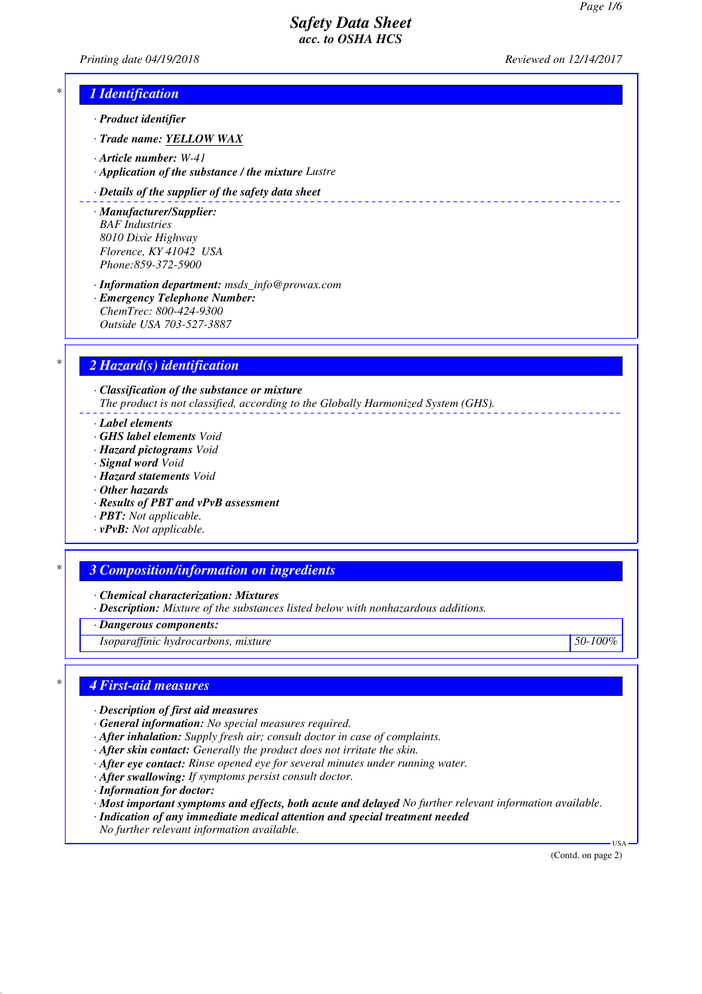*Printing date 04/19/2018 Reviewed on 12/14/2017*

# *\* 1 Identification*

- *· Product identifier*
- *· Trade name: YELLOW WAX*
- *· Article number: W-41*
- *· Application of the substance / the mixture Lustre*

#### *· Details of the supplier of the safety data sheet*

- *· Manufacturer/Supplier: BAF Industries 8010 Dixie Highway Florence, KY 41042 USA Phone:859-372-5900*
- *· Information department: msds\_info@prowax.com · Emergency Telephone Number: ChemTrec: 800-424-9300 Outside USA 703-527-3887*

# *\* 2 Hazard(s) identification*

*· Classification of the substance or mixture The product is not classified, according to the Globally Harmonized System (GHS).*

- *· Label elements*
- *· GHS label elements Void*
- *· Hazard pictograms Void*
- *· Signal word Void*
- *· Hazard statements Void*
- *· Other hazards*
- *· Results of PBT and vPvB assessment*
- *· PBT: Not applicable.*
- *· vPvB: Not applicable.*

# *\* 3 Composition/information on ingredients*

*· Chemical characterization: Mixtures*

*· Description: Mixture of the substances listed below with nonhazardous additions.*

*· Dangerous components:*

*Isoparaffinic hydrocarbons, mixture 50-100%*

#### *\* 4 First-aid measures*

- *· Description of first aid measures*
- *· General information: No special measures required.*
- *· After inhalation: Supply fresh air; consult doctor in case of complaints.*
- *· After skin contact: Generally the product does not irritate the skin.*
- *· After eye contact: Rinse opened eye for several minutes under running water.*
- *· After swallowing: If symptoms persist consult doctor.*
- *· Information for doctor:*
- *· Most important symptoms and effects, both acute and delayed No further relevant information available.*
- *· Indication of any immediate medical attention and special treatment needed*
- *No further relevant information available.*

(Contd. on page 2)

USA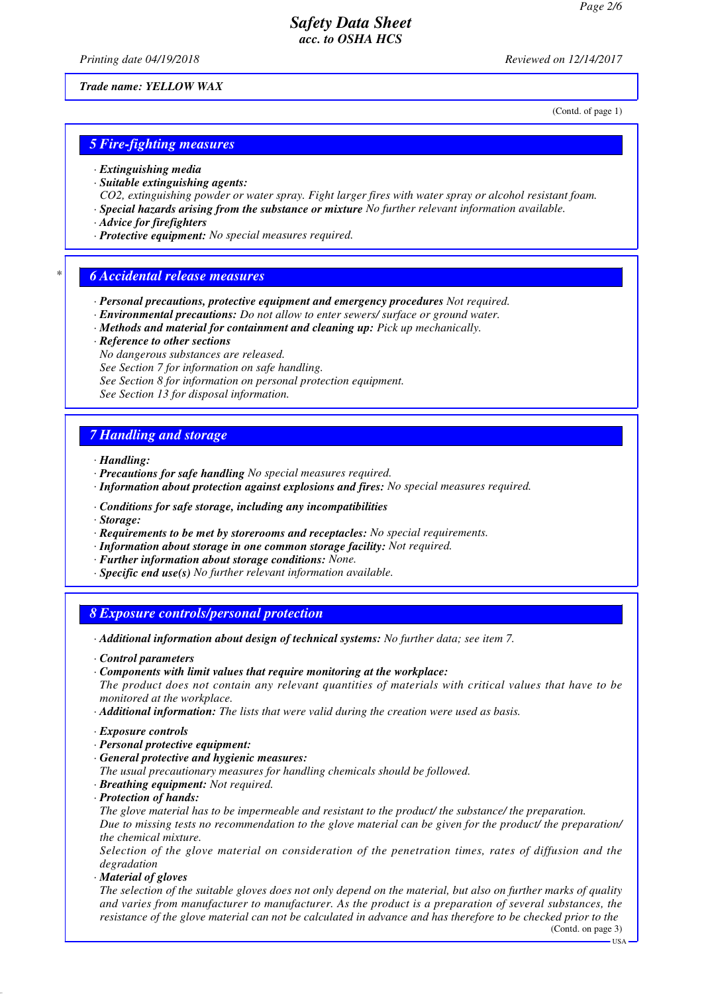*Printing date 04/19/2018 Reviewed on 12/14/2017*

*Trade name: YELLOW WAX*

(Contd. of page 1)

#### *5 Fire-fighting measures*

- *· Extinguishing media*
- *· Suitable extinguishing agents:*
- *CO2, extinguishing powder or water spray. Fight larger fires with water spray or alcohol resistant foam.*
- *· Special hazards arising from the substance or mixture No further relevant information available.*
- *· Advice for firefighters*
- *· Protective equipment: No special measures required.*

#### *\* 6 Accidental release measures*

- *· Personal precautions, protective equipment and emergency procedures Not required.*
- *· Environmental precautions: Do not allow to enter sewers/ surface or ground water.*
- *· Methods and material for containment and cleaning up: Pick up mechanically.*
- *· Reference to other sections*
- *No dangerous substances are released.*

*See Section 7 for information on safe handling.*

- *See Section 8 for information on personal protection equipment.*
- *See Section 13 for disposal information.*

### *7 Handling and storage*

*· Handling:*

- *· Precautions for safe handling No special measures required.*
- *· Information about protection against explosions and fires: No special measures required.*
- *· Conditions for safe storage, including any incompatibilities*
- *· Storage:*
- *· Requirements to be met by storerooms and receptacles: No special requirements.*
- *· Information about storage in one common storage facility: Not required.*
- *· Further information about storage conditions: None.*
- *· Specific end use(s) No further relevant information available.*

#### *8 Exposure controls/personal protection*

- *· Additional information about design of technical systems: No further data; see item 7.*
- *· Control parameters*
- *· Components with limit values that require monitoring at the workplace:*
- *The product does not contain any relevant quantities of materials with critical values that have to be monitored at the workplace.*
- *· Additional information: The lists that were valid during the creation were used as basis.*
- *· Exposure controls*
- *· Personal protective equipment:*
- *· General protective and hygienic measures:*

*The usual precautionary measures for handling chemicals should be followed.*

- *· Breathing equipment: Not required.*
- *· Protection of hands:*

*The glove material has to be impermeable and resistant to the product/ the substance/ the preparation. Due to missing tests no recommendation to the glove material can be given for the product/ the preparation/ the chemical mixture.*

*Selection of the glove material on consideration of the penetration times, rates of diffusion and the degradation*

*· Material of gloves*

*The selection of the suitable gloves does not only depend on the material, but also on further marks of quality and varies from manufacturer to manufacturer. As the product is a preparation of several substances, the resistance of the glove material can not be calculated in advance and has therefore to be checked prior to the*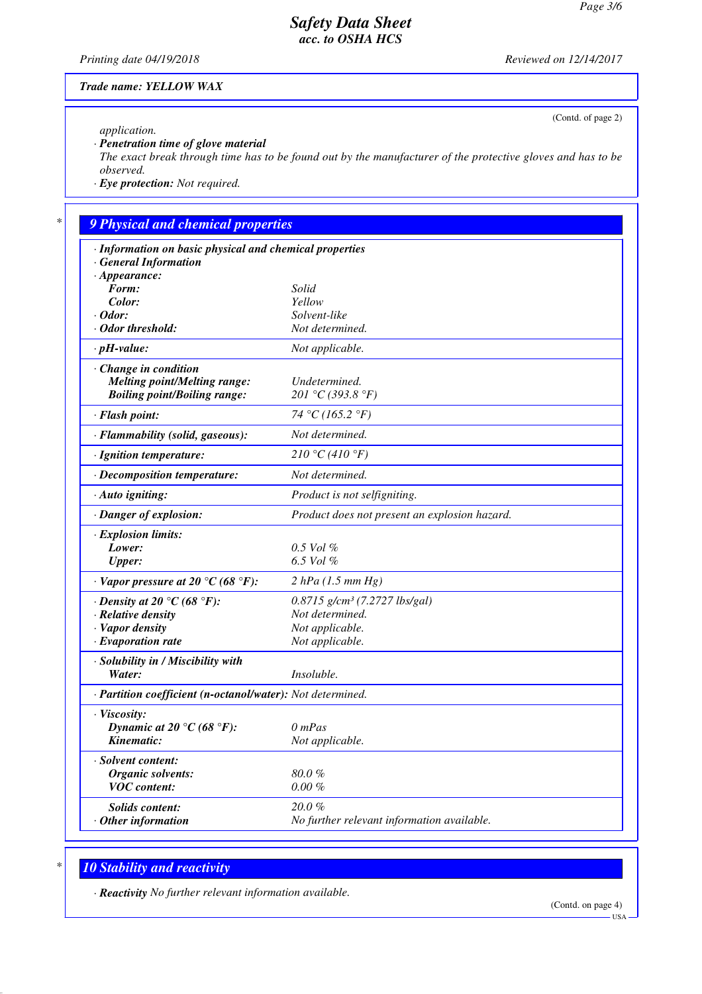(Contd. of page 2)

# *Safety Data Sheet acc. to OSHA HCS*

*Printing date 04/19/2018 Reviewed on 12/14/2017*

*Trade name: YELLOW WAX*

*application.*

*· Penetration time of glove material*

*The exact break through time has to be found out by the manufacturer of the protective gloves and has to be observed.*

*· Eye protection: Not required.*

# *\* 9 Physical and chemical properties*

| · Information on basic physical and chemical properties    |                                               |
|------------------------------------------------------------|-----------------------------------------------|
| <b>General Information</b>                                 |                                               |
| $\cdot$ Appearance:<br>Form:                               | Solid                                         |
| Color:                                                     | Yellow                                        |
| $\cdot$ Odor:                                              | Solvent-like                                  |
| · Odor threshold:                                          | Not determined.                               |
| $\cdot$ pH-value:                                          | Not applicable.                               |
| $\cdot$ Change in condition                                |                                               |
| <b>Melting point/Melting range:</b>                        | Undetermined.                                 |
| <b>Boiling point/Boiling range:</b>                        | 201 °C (393.8 °F)                             |
| · Flash point:                                             | 74 °C (165.2 °F)                              |
| · Flammability (solid, gaseous):                           | Not determined.                               |
| · Ignition temperature:                                    | 210 °C (410 °F)                               |
| · Decomposition temperature:                               | Not determined.                               |
| · Auto igniting:                                           | Product is not selfigniting.                  |
| · Danger of explosion:                                     | Product does not present an explosion hazard. |
| · Explosion limits:                                        |                                               |
| Lower:                                                     | $0.5$ Vol $\%$                                |
| <b>Upper:</b>                                              | 6.5 Vol $%$                                   |
| $\cdot$ Vapor pressure at 20 °C (68 °F):                   | 2 hPa (1.5 mm Hg)                             |
| $\cdot$ Density at 20 °C (68 °F):                          | 0.8715 g/cm <sup>3</sup> (7.2727 lbs/gal)     |
| $\cdot$ Relative density                                   | Not determined.                               |
| · Vapor density                                            | Not applicable.                               |
| $\cdot$ Evaporation rate                                   | Not applicable.                               |
| · Solubility in / Miscibility with                         |                                               |
| Water:                                                     | <i>Insoluble.</i>                             |
| · Partition coefficient (n-octanol/water): Not determined. |                                               |
| · Viscosity:                                               |                                               |
| Dynamic at 20 °C (68 °F):                                  | $0$ mPas                                      |
| Kinematic:                                                 | Not applicable.                               |
| · Solvent content:                                         |                                               |
| <b>Organic solvents:</b>                                   | 80.0%                                         |
| <b>VOC</b> content:                                        | $0.00 \%$                                     |
| <b>Solids content:</b>                                     | $20.0 \%$                                     |
| $·$ Other information                                      | No further relevant information available.    |
|                                                            |                                               |

# *\* 10 Stability and reactivity*

*· Reactivity No further relevant information available.*

USA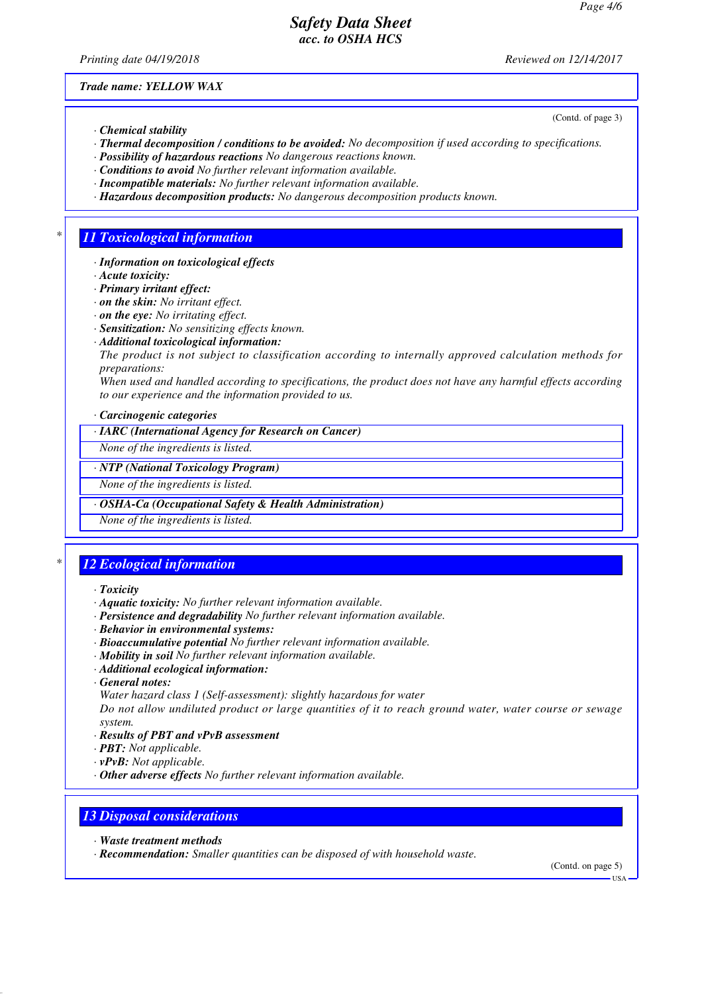*Printing date 04/19/2018 Reviewed on 12/14/2017*

(Contd. of page 3)

*Trade name: YELLOW WAX*

- *· Chemical stability*
- *· Thermal decomposition / conditions to be avoided: No decomposition if used according to specifications.*
- *· Possibility of hazardous reactions No dangerous reactions known.*
- *· Conditions to avoid No further relevant information available.*
- *· Incompatible materials: No further relevant information available.*
- *· Hazardous decomposition products: No dangerous decomposition products known.*

# *\* 11 Toxicological information*

- *· Information on toxicological effects*
- *· Acute toxicity:*
- *· Primary irritant effect:*
- *· on the skin: No irritant effect.*
- *· on the eye: No irritating effect.*
- *· Sensitization: No sensitizing effects known.*
- *· Additional toxicological information:*
- *The product is not subject to classification according to internally approved calculation methods for preparations:*

*When used and handled according to specifications, the product does not have any harmful effects according to our experience and the information provided to us.*

*· Carcinogenic categories*

*· IARC (International Agency for Research on Cancer)*

*None of the ingredients is listed.*

#### *· NTP (National Toxicology Program)*

*None of the ingredients is listed.*

*· OSHA-Ca (Occupational Safety & Health Administration)*

*None of the ingredients is listed.*

# *\* 12 Ecological information*

- *· Toxicity*
- *· Aquatic toxicity: No further relevant information available.*
- *· Persistence and degradability No further relevant information available.*
- *· Behavior in environmental systems:*
- *· Bioaccumulative potential No further relevant information available.*
- *· Mobility in soil No further relevant information available.*
- *· Additional ecological information:*
- *· General notes:*
- *Water hazard class 1 (Self-assessment): slightly hazardous for water*

*Do not allow undiluted product or large quantities of it to reach ground water, water course or sewage system.*

- *· Results of PBT and vPvB assessment*
- *· PBT: Not applicable.*
- *· vPvB: Not applicable.*
- *· Other adverse effects No further relevant information available.*

# *13 Disposal considerations*

- *· Waste treatment methods*
- *· Recommendation: Smaller quantities can be disposed of with household waste.*

(Contd. on page 5)

USA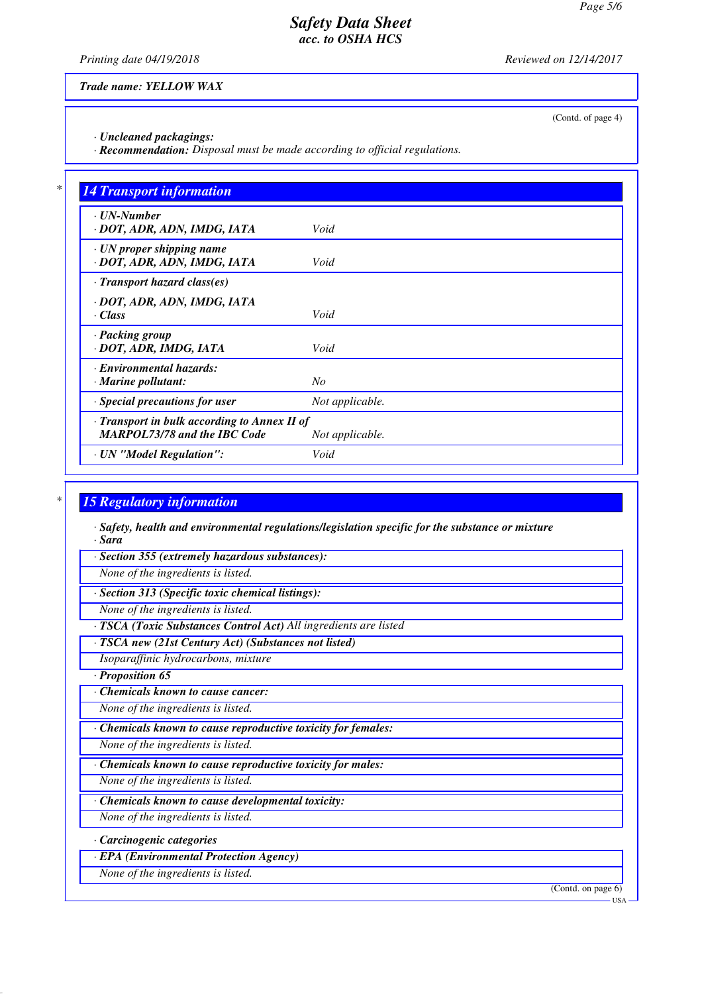*Printing date 04/19/2018 Reviewed on 12/14/2017*

(Contd. of page 4)

*Trade name: YELLOW WAX*

*· Uncleaned packagings:*

*· Recommendation: Disposal must be made according to official regulations.*

| $\cdot$ UN-Number<br>· DOT, ADR, ADN, IMDG, IATA               | Void            |
|----------------------------------------------------------------|-----------------|
|                                                                |                 |
| $\cdot$ UN proper shipping name<br>· DOT, ADR, ADN, IMDG, IATA | Void            |
| $\cdot$ Transport hazard class(es)                             |                 |
| · DOT, ADR, ADN, IMDG, IATA                                    |                 |
| $\cdot$ Class                                                  | Void            |
| · Packing group                                                |                 |
| · DOT, ADR, IMDG, IATA                                         | Void            |
| · Environmental hazards:                                       |                 |
| $\cdot$ Marine pollutant:                                      | $N_{O}$         |
| · Special precautions for user                                 | Not applicable. |
| · Transport in bulk according to Annex II of                   |                 |
| <b>MARPOL73/78 and the IBC Code</b>                            | Not applicable. |

### *\* 15 Regulatory information*

*· Safety, health and environmental regulations/legislation specific for the substance or mixture · Sara*

*· Section 355 (extremely hazardous substances):*

*None of the ingredients is listed.*

*· Section 313 (Specific toxic chemical listings):*

*None of the ingredients is listed.*

*· TSCA (Toxic Substances Control Act) All ingredients are listed*

*· TSCA new (21st Century Act) (Substances not listed)*

*Isoparaffinic hydrocarbons, mixture*

*· Proposition 65*

*· Chemicals known to cause cancer:*

*None of the ingredients is listed.*

*· Chemicals known to cause reproductive toxicity for females:*

*None of the ingredients is listed.*

*· Chemicals known to cause reproductive toxicity for males:*

*None of the ingredients is listed.*

*· Chemicals known to cause developmental toxicity:*

*None of the ingredients is listed.*

*· Carcinogenic categories*

*· EPA (Environmental Protection Agency)*

*None of the ingredients is listed.*

(Contd. on page 6)